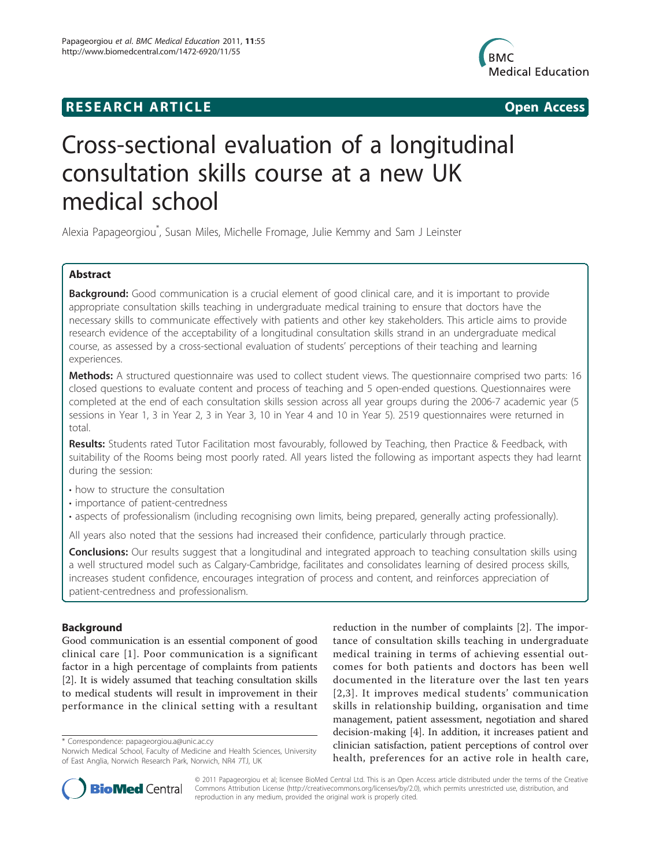## **RESEARCH ARTICLE Example 2018 12:30 THE Open Access**



# Cross-sectional evaluation of a longitudinal consultation skills course at a new UK medical school

Alexia Papageorgiou\* , Susan Miles, Michelle Fromage, Julie Kemmy and Sam J Leinster

## Abstract

**Background:** Good communication is a crucial element of good clinical care, and it is important to provide appropriate consultation skills teaching in undergraduate medical training to ensure that doctors have the necessary skills to communicate effectively with patients and other key stakeholders. This article aims to provide research evidence of the acceptability of a longitudinal consultation skills strand in an undergraduate medical course, as assessed by a cross-sectional evaluation of students' perceptions of their teaching and learning experiences.

Methods: A structured questionnaire was used to collect student views. The questionnaire comprised two parts: 16 closed questions to evaluate content and process of teaching and 5 open-ended questions. Questionnaires were completed at the end of each consultation skills session across all year groups during the 2006-7 academic year (5 sessions in Year 1, 3 in Year 2, 3 in Year 3, 10 in Year 4 and 10 in Year 5). 2519 questionnaires were returned in total.

Results: Students rated Tutor Facilitation most favourably, followed by Teaching, then Practice & Feedback, with suitability of the Rooms being most poorly rated. All years listed the following as important aspects they had learnt during the session:

- how to structure the consultation
- importance of patient-centredness
- aspects of professionalism (including recognising own limits, being prepared, generally acting professionally).

All years also noted that the sessions had increased their confidence, particularly through practice.

Conclusions: Our results suggest that a longitudinal and integrated approach to teaching consultation skills using a well structured model such as Calgary-Cambridge, facilitates and consolidates learning of desired process skills, increases student confidence, encourages integration of process and content, and reinforces appreciation of patient-centredness and professionalism.

## Background

Good communication is an essential component of good clinical care [[1\]](#page-7-0). Poor communication is a significant factor in a high percentage of complaints from patients [[2\]](#page-7-0). It is widely assumed that teaching consultation skills to medical students will result in improvement in their performance in the clinical setting with a resultant

\* Correspondence: [papageorgiou.a@unic.ac.cy](mailto:papageorgiou.a@unic.ac.cy)

reduction in the number of complaints [[2](#page-7-0)]. The importance of consultation skills teaching in undergraduate medical training in terms of achieving essential outcomes for both patients and doctors has been well documented in the literature over the last ten years [[2,3\]](#page-7-0). It improves medical students' communication skills in relationship building, organisation and time management, patient assessment, negotiation and shared decision-making [\[4](#page-7-0)]. In addition, it increases patient and clinician satisfaction, patient perceptions of control over health, preferences for an active role in health care,



© 2011 Papageorgiou et al; licensee BioMed Central Ltd. This is an Open Access article distributed under the terms of the Creative Commons Attribution License [\(http://creativecommons.org/licenses/by/2.0](http://creativecommons.org/licenses/by/2.0)), which permits unrestricted use, distribution, and reproduction in any medium, provided the original work is properly cited.

Norwich Medical School, Faculty of Medicine and Health Sciences, University of East Anglia, Norwich Research Park, Norwich, NR4 7TJ, UK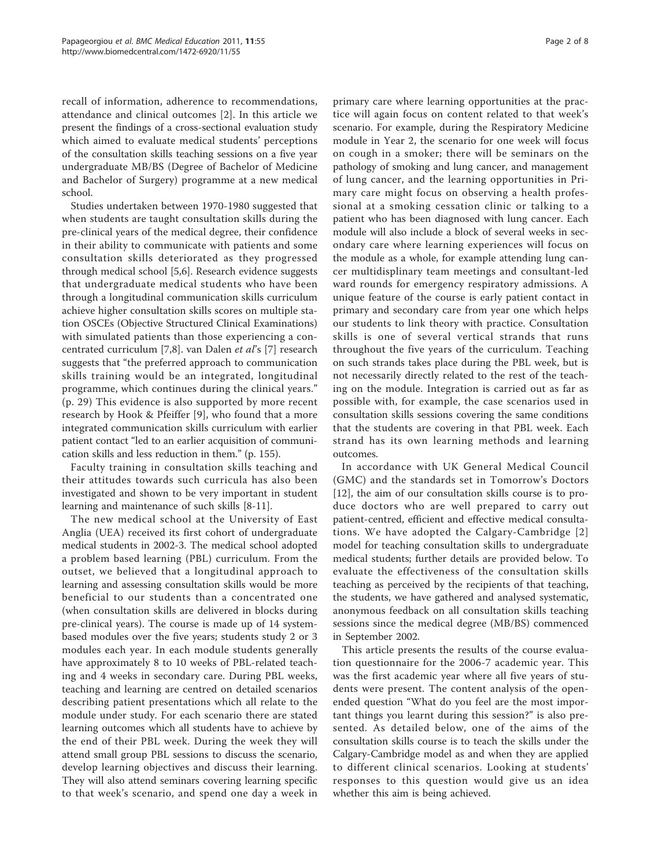recall of information, adherence to recommendations, attendance and clinical outcomes [[2\]](#page-7-0). In this article we present the findings of a cross-sectional evaluation study which aimed to evaluate medical students' perceptions of the consultation skills teaching sessions on a five year undergraduate MB/BS (Degree of Bachelor of Medicine and Bachelor of Surgery) programme at a new medical school.

Studies undertaken between 1970-1980 suggested that when students are taught consultation skills during the pre-clinical years of the medical degree, their confidence in their ability to communicate with patients and some consultation skills deteriorated as they progressed through medical school [\[5,6](#page-7-0)]. Research evidence suggests that undergraduate medical students who have been through a longitudinal communication skills curriculum achieve higher consultation skills scores on multiple station OSCEs (Objective Structured Clinical Examinations) with simulated patients than those experiencing a concentrated curriculum [\[7,8](#page-7-0)]. van Dalen et al's [\[7](#page-7-0)] research suggests that "the preferred approach to communication skills training would be an integrated, longitudinal programme, which continues during the clinical years." (p. 29) This evidence is also supported by more recent research by Hook & Pfeiffer [[9](#page-7-0)], who found that a more integrated communication skills curriculum with earlier patient contact "led to an earlier acquisition of communication skills and less reduction in them." (p. 155).

Faculty training in consultation skills teaching and their attitudes towards such curricula has also been investigated and shown to be very important in student learning and maintenance of such skills [[8-11\]](#page-7-0).

The new medical school at the University of East Anglia (UEA) received its first cohort of undergraduate medical students in 2002-3. The medical school adopted a problem based learning (PBL) curriculum. From the outset, we believed that a longitudinal approach to learning and assessing consultation skills would be more beneficial to our students than a concentrated one (when consultation skills are delivered in blocks during pre-clinical years). The course is made up of 14 systembased modules over the five years; students study 2 or 3 modules each year. In each module students generally have approximately 8 to 10 weeks of PBL-related teaching and 4 weeks in secondary care. During PBL weeks, teaching and learning are centred on detailed scenarios describing patient presentations which all relate to the module under study. For each scenario there are stated learning outcomes which all students have to achieve by the end of their PBL week. During the week they will attend small group PBL sessions to discuss the scenario, develop learning objectives and discuss their learning. They will also attend seminars covering learning specific to that week's scenario, and spend one day a week in primary care where learning opportunities at the practice will again focus on content related to that week's scenario. For example, during the Respiratory Medicine module in Year 2, the scenario for one week will focus on cough in a smoker; there will be seminars on the pathology of smoking and lung cancer, and management of lung cancer, and the learning opportunities in Primary care might focus on observing a health professional at a smoking cessation clinic or talking to a patient who has been diagnosed with lung cancer. Each module will also include a block of several weeks in secondary care where learning experiences will focus on the module as a whole, for example attending lung cancer multidisplinary team meetings and consultant-led ward rounds for emergency respiratory admissions. A unique feature of the course is early patient contact in primary and secondary care from year one which helps our students to link theory with practice. Consultation skills is one of several vertical strands that runs throughout the five years of the curriculum. Teaching on such strands takes place during the PBL week, but is not necessarily directly related to the rest of the teaching on the module. Integration is carried out as far as possible with, for example, the case scenarios used in consultation skills sessions covering the same conditions that the students are covering in that PBL week. Each strand has its own learning methods and learning outcomes.

In accordance with UK General Medical Council (GMC) and the standards set in Tomorrow's Doctors [[12\]](#page-7-0), the aim of our consultation skills course is to produce doctors who are well prepared to carry out patient-centred, efficient and effective medical consultations. We have adopted the Calgary-Cambridge [[2](#page-7-0)] model for teaching consultation skills to undergraduate medical students; further details are provided below. To evaluate the effectiveness of the consultation skills teaching as perceived by the recipients of that teaching, the students, we have gathered and analysed systematic, anonymous feedback on all consultation skills teaching sessions since the medical degree (MB/BS) commenced in September 2002.

This article presents the results of the course evaluation questionnaire for the 2006-7 academic year. This was the first academic year where all five years of students were present. The content analysis of the openended question "What do you feel are the most important things you learnt during this session?" is also presented. As detailed below, one of the aims of the consultation skills course is to teach the skills under the Calgary-Cambridge model as and when they are applied to different clinical scenarios. Looking at students' responses to this question would give us an idea whether this aim is being achieved.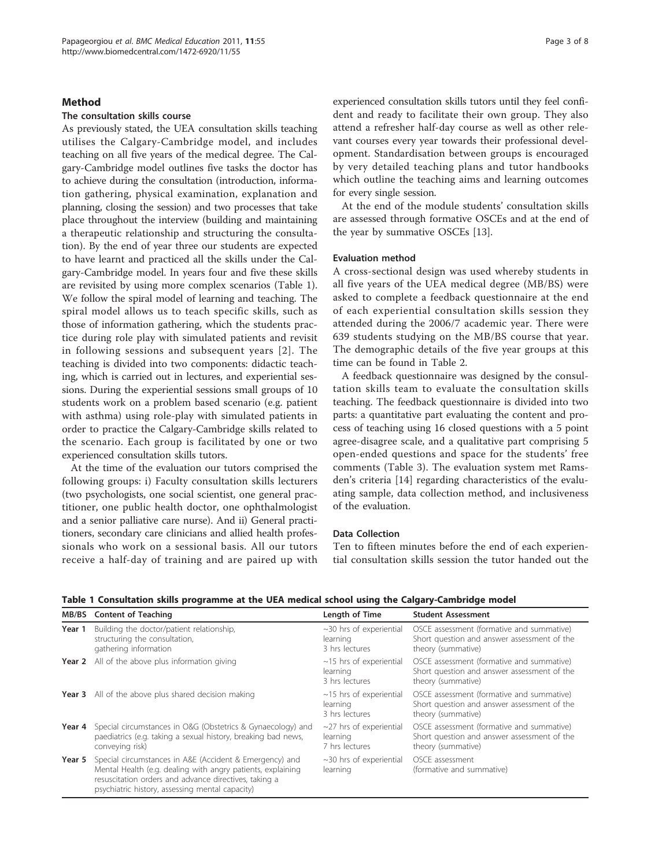## Method

## The consultation skills course

As previously stated, the UEA consultation skills teaching utilises the Calgary-Cambridge model, and includes teaching on all five years of the medical degree. The Calgary-Cambridge model outlines five tasks the doctor has to achieve during the consultation (introduction, information gathering, physical examination, explanation and planning, closing the session) and two processes that take place throughout the interview (building and maintaining a therapeutic relationship and structuring the consultation). By the end of year three our students are expected to have learnt and practiced all the skills under the Calgary-Cambridge model. In years four and five these skills are revisited by using more complex scenarios (Table 1). We follow the spiral model of learning and teaching. The spiral model allows us to teach specific skills, such as those of information gathering, which the students practice during role play with simulated patients and revisit in following sessions and subsequent years [[2](#page-7-0)]. The teaching is divided into two components: didactic teaching, which is carried out in lectures, and experiential sessions. During the experiential sessions small groups of 10 students work on a problem based scenario (e.g. patient with asthma) using role-play with simulated patients in order to practice the Calgary-Cambridge skills related to the scenario. Each group is facilitated by one or two experienced consultation skills tutors.

At the time of the evaluation our tutors comprised the following groups: i) Faculty consultation skills lecturers (two psychologists, one social scientist, one general practitioner, one public health doctor, one ophthalmologist and a senior palliative care nurse). And ii) General practitioners, secondary care clinicians and allied health professionals who work on a sessional basis. All our tutors receive a half-day of training and are paired up with experienced consultation skills tutors until they feel confident and ready to facilitate their own group. They also attend a refresher half-day course as well as other relevant courses every year towards their professional development. Standardisation between groups is encouraged by very detailed teaching plans and tutor handbooks which outline the teaching aims and learning outcomes for every single session.

At the end of the module students' consultation skills are assessed through formative OSCEs and at the end of the year by summative OSCEs [[13\]](#page-7-0).

#### Evaluation method

A cross-sectional design was used whereby students in all five years of the UEA medical degree (MB/BS) were asked to complete a feedback questionnaire at the end of each experiential consultation skills session they attended during the 2006/7 academic year. There were 639 students studying on the MB/BS course that year. The demographic details of the five year groups at this time can be found in Table [2.](#page-3-0)

A feedback questionnaire was designed by the consultation skills team to evaluate the consultation skills teaching. The feedback questionnaire is divided into two parts: a quantitative part evaluating the content and process of teaching using 16 closed questions with a 5 point agree-disagree scale, and a qualitative part comprising 5 open-ended questions and space for the students' free comments (Table [3](#page-3-0)). The evaluation system met Ramsden's criteria [[14\]](#page-7-0) regarding characteristics of the evaluating sample, data collection method, and inclusiveness of the evaluation.

#### Data Collection

Ten to fifteen minutes before the end of each experiential consultation skills session the tutor handed out the

|  |  |  | Table 1 Consultation skills programme at the UEA medical school using the Calgary-Cambridge model |  |
|--|--|--|---------------------------------------------------------------------------------------------------|--|
|--|--|--|---------------------------------------------------------------------------------------------------|--|

|        | MB/BS Content of Teaching                                                                                                                                                                                                          | Length of Time                                              | <b>Student Assessment</b>                                                                                      |
|--------|------------------------------------------------------------------------------------------------------------------------------------------------------------------------------------------------------------------------------------|-------------------------------------------------------------|----------------------------------------------------------------------------------------------------------------|
| Year 1 | Building the doctor/patient relationship,<br>structuring the consultation,<br>gathering information                                                                                                                                | $\sim$ 30 hrs of experiential<br>learning<br>3 hrs lectures | OSCE assessment (formative and summative)<br>Short question and answer assessment of the<br>theory (summative) |
|        | <b>Year 2</b> All of the above plus information giving                                                                                                                                                                             | $\sim$ 15 hrs of experiential<br>learning<br>3 hrs lectures | OSCE assessment (formative and summative)<br>Short question and answer assessment of the<br>theory (summative) |
|        | <b>Year 3</b> All of the above plus shared decision making                                                                                                                                                                         | $\sim$ 15 hrs of experiential<br>learning<br>3 hrs lectures | OSCE assessment (formative and summative)<br>Short question and answer assessment of the<br>theory (summative) |
| Year 4 | Special circumstances in O&G (Obstetrics & Gynaecology) and<br>paediatrics (e.g. taking a sexual history, breaking bad news,<br>conveying risk)                                                                                    | $\sim$ 27 hrs of experiential<br>learning<br>7 hrs lectures | OSCE assessment (formative and summative)<br>Short question and answer assessment of the<br>theory (summative) |
| Year 5 | Special circumstances in A&E (Accident & Emergency) and<br>Mental Health (e.g. dealing with angry patients, explaining<br>resuscitation orders and advance directives, taking a<br>psychiatric history, assessing mental capacity) | $\sim$ 30 hrs of experiential<br>learning                   | OSCE assessment<br>(formative and summative)                                                                   |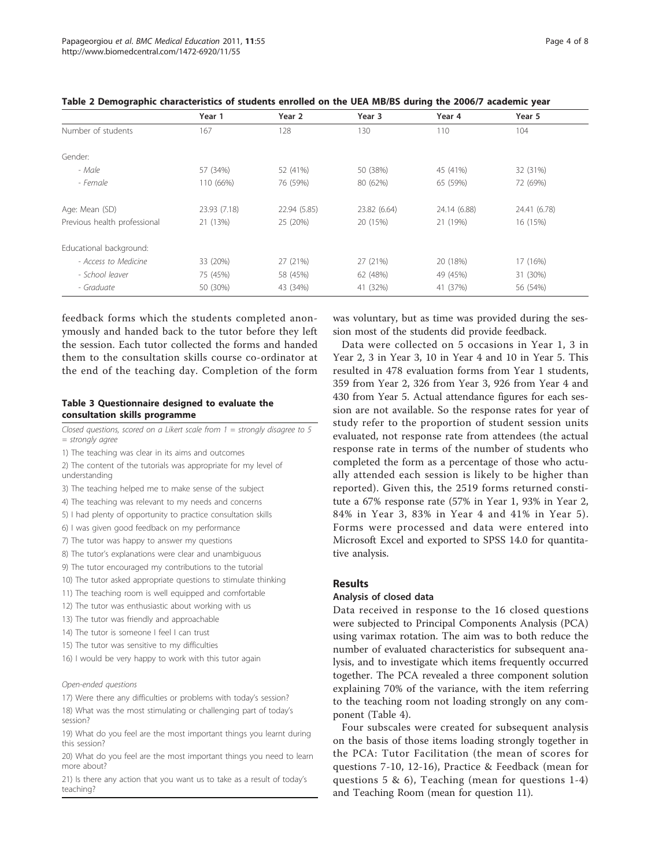|                              | Year 1       | Year 2       | Year 3       | Year 4       | Year 5       |
|------------------------------|--------------|--------------|--------------|--------------|--------------|
| Number of students           | 167          | 128          | 130          | 110          | 104          |
| Gender:                      |              |              |              |              |              |
| - Male                       | 57 (34%)     | 52 (41%)     | 50 (38%)     | 45 (41%)     | 32 (31%)     |
| - Female                     | 110 (66%)    | 76 (59%)     | 80 (62%)     | 65 (59%)     | 72 (69%)     |
| Age: Mean (SD)               | 23.93 (7.18) | 22.94 (5.85) | 23.82 (6.64) | 24.14 (6.88) | 24.41 (6.78) |
| Previous health professional | 21 (13%)     | 25 (20%)     | 20 (15%)     | 21 (19%)     | 16 (15%)     |
| Educational background:      |              |              |              |              |              |
| - Access to Medicine         | 33 (20%)     | 27 (21%)     | 27 (21%)     | 20 (18%)     | 17 (16%)     |
| - School leaver              | 75 (45%)     | 58 (45%)     | 62 (48%)     | 49 (45%)     | 31 (30%)     |
| - Graduate                   | 50 (30%)     | 43 (34%)     | 41 (32%)     | 41 (37%)     | 56 (54%)     |

<span id="page-3-0"></span>Table 2 Demographic characteristics of students enrolled on the UEA MB/BS during the 2006/7 academic year

feedback forms which the students completed anonymously and handed back to the tutor before they left the session. Each tutor collected the forms and handed them to the consultation skills course co-ordinator at the end of the teaching day. Completion of the form

## Table 3 Questionnaire designed to evaluate the consultation skills programme

Closed questions, scored on a Likert scale from  $1 =$  strongly disagree to 5 = strongly agree

- 1) The teaching was clear in its aims and outcomes
- 2) The content of the tutorials was appropriate for my level of understanding
- 3) The teaching helped me to make sense of the subject
- 4) The teaching was relevant to my needs and concerns
- 5) I had plenty of opportunity to practice consultation skills
- 6) I was given good feedback on my performance
- 7) The tutor was happy to answer my questions
- 8) The tutor's explanations were clear and unambiguous
- 9) The tutor encouraged my contributions to the tutorial
- 10) The tutor asked appropriate questions to stimulate thinking
- 11) The teaching room is well equipped and comfortable
- 12) The tutor was enthusiastic about working with us
- 13) The tutor was friendly and approachable
- 14) The tutor is someone I feel I can trust
- 15) The tutor was sensitive to my difficulties
- 16) I would be very happy to work with this tutor again

Open-ended questions

- 17) Were there any difficulties or problems with today's session? 18) What was the most stimulating or challenging part of today's session?
- 19) What do you feel are the most important things you learnt during this session?
- 20) What do you feel are the most important things you need to learn more about?

21) Is there any action that you want us to take as a result of today's teaching?

was voluntary, but as time was provided during the session most of the students did provide feedback.

Data were collected on 5 occasions in Year 1, 3 in Year 2, 3 in Year 3, 10 in Year 4 and 10 in Year 5. This resulted in 478 evaluation forms from Year 1 students, 359 from Year 2, 326 from Year 3, 926 from Year 4 and 430 from Year 5. Actual attendance figures for each session are not available. So the response rates for year of study refer to the proportion of student session units evaluated, not response rate from attendees (the actual response rate in terms of the number of students who completed the form as a percentage of those who actually attended each session is likely to be higher than reported). Given this, the 2519 forms returned constitute a 67% response rate (57% in Year 1, 93% in Year 2, 84% in Year 3, 83% in Year 4 and 41% in Year 5). Forms were processed and data were entered into Microsoft Excel and exported to SPSS 14.0 for quantitative analysis.

## Results

#### Analysis of closed data

Data received in response to the 16 closed questions were subjected to Principal Components Analysis (PCA) using varimax rotation. The aim was to both reduce the number of evaluated characteristics for subsequent analysis, and to investigate which items frequently occurred together. The PCA revealed a three component solution explaining 70% of the variance, with the item referring to the teaching room not loading strongly on any component (Table [4\)](#page-4-0).

Four subscales were created for subsequent analysis on the basis of those items loading strongly together in the PCA: Tutor Facilitation (the mean of scores for questions 7-10, 12-16), Practice & Feedback (mean for questions 5 & 6), Teaching (mean for questions 1-4) and Teaching Room (mean for question 11).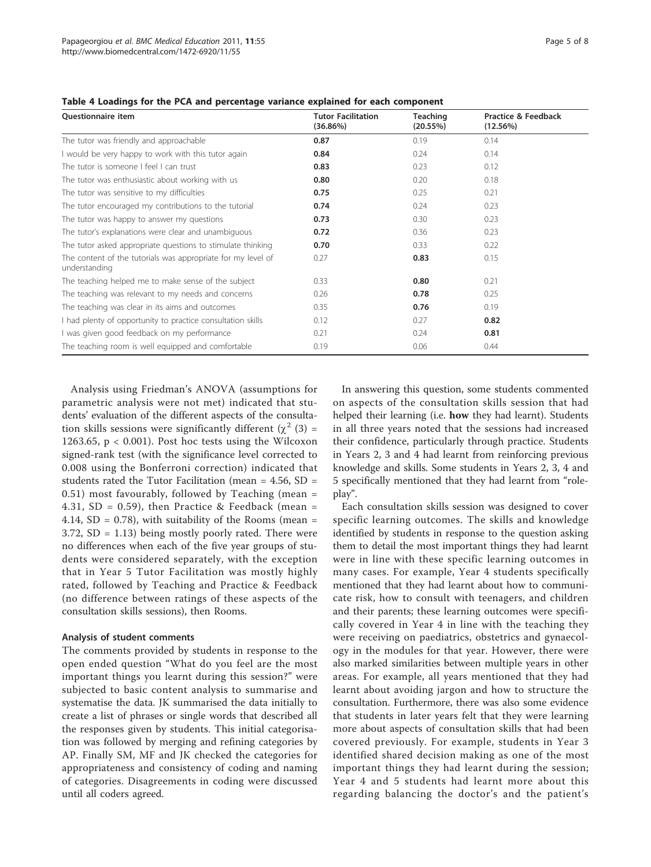| <b>Ouestionnaire item</b>                                                     | <b>Tutor Facilitation</b><br>(36.86%) | <b>Teaching</b><br>(20.55%) | Practice & Feedback<br>(12.56%) |
|-------------------------------------------------------------------------------|---------------------------------------|-----------------------------|---------------------------------|
| The tutor was friendly and approachable                                       | 0.87                                  | 0.19                        | 0.14                            |
| I would be very happy to work with this tutor again                           | 0.84                                  | 0.24                        | 0.14                            |
| The tutor is someone I feel I can trust                                       | 0.83                                  | 0.23                        | 0.12                            |
| The tutor was enthusiastic about working with us                              | 0.80                                  | 0.20                        | 0.18                            |
| The tutor was sensitive to my difficulties                                    | 0.75                                  | 0.25                        | 0.21                            |
| The tutor encouraged my contributions to the tutorial                         | 0.74                                  | 0.24                        | 0.23                            |
| The tutor was happy to answer my questions                                    | 0.73                                  | 0.30                        | 0.23                            |
| The tutor's explanations were clear and unambiguous                           | 0.72                                  | 0.36                        | 0.23                            |
| The tutor asked appropriate questions to stimulate thinking                   | 0.70                                  | 0.33                        | 0.22                            |
| The content of the tutorials was appropriate for my level of<br>understanding | 0.27                                  | 0.83                        | 0.15                            |
| The teaching helped me to make sense of the subject                           | 0.33                                  | 0.80                        | 0.21                            |
| The teaching was relevant to my needs and concerns                            | 0.26                                  | 0.78                        | 0.25                            |
| The teaching was clear in its aims and outcomes                               | 0.35                                  | 0.76                        | 0.19                            |
| I had plenty of opportunity to practice consultation skills                   | 0.12                                  | 0.27                        | 0.82                            |
| I was given good feedback on my performance                                   | 0.21                                  | 0.24                        | 0.81                            |
| The teaching room is well equipped and comfortable                            | 0.19                                  | 0.06                        | 0.44                            |

<span id="page-4-0"></span>Table 4 Loadings for the PCA and percentage variance explained for each component

Analysis using Friedman's ANOVA (assumptions for parametric analysis were not met) indicated that students' evaluation of the different aspects of the consultation skills sessions were significantly different ( $\chi^2$  (3) = 1263.65, p < 0.001). Post hoc tests using the Wilcoxon signed-rank test (with the significance level corrected to 0.008 using the Bonferroni correction) indicated that students rated the Tutor Facilitation (mean =  $4.56$ , SD =  $(0.51)$  most favourably, followed by Teaching (mean = 4.31, SD = 0.59), then Practice & Feedback (mean = 4.14,  $SD = 0.78$ ), with suitability of the Rooms (mean =  $3.72$ , SD = 1.13) being mostly poorly rated. There were no differences when each of the five year groups of students were considered separately, with the exception that in Year 5 Tutor Facilitation was mostly highly rated, followed by Teaching and Practice & Feedback (no difference between ratings of these aspects of the consultation skills sessions), then Rooms.

## Analysis of student comments

The comments provided by students in response to the open ended question "What do you feel are the most important things you learnt during this session?" were subjected to basic content analysis to summarise and systematise the data. JK summarised the data initially to create a list of phrases or single words that described all the responses given by students. This initial categorisation was followed by merging and refining categories by AP. Finally SM, MF and JK checked the categories for appropriateness and consistency of coding and naming of categories. Disagreements in coding were discussed until all coders agreed.

In answering this question, some students commented on aspects of the consultation skills session that had helped their learning (i.e. **how** they had learnt). Students in all three years noted that the sessions had increased their confidence, particularly through practice. Students in Years 2, 3 and 4 had learnt from reinforcing previous knowledge and skills. Some students in Years 2, 3, 4 and 5 specifically mentioned that they had learnt from "roleplay".

Each consultation skills session was designed to cover specific learning outcomes. The skills and knowledge identified by students in response to the question asking them to detail the most important things they had learnt were in line with these specific learning outcomes in many cases. For example, Year 4 students specifically mentioned that they had learnt about how to communicate risk, how to consult with teenagers, and children and their parents; these learning outcomes were specifically covered in Year 4 in line with the teaching they were receiving on paediatrics, obstetrics and gynaecology in the modules for that year. However, there were also marked similarities between multiple years in other areas. For example, all years mentioned that they had learnt about avoiding jargon and how to structure the consultation. Furthermore, there was also some evidence that students in later years felt that they were learning more about aspects of consultation skills that had been covered previously. For example, students in Year 3 identified shared decision making as one of the most important things they had learnt during the session; Year 4 and 5 students had learnt more about this regarding balancing the doctor's and the patient's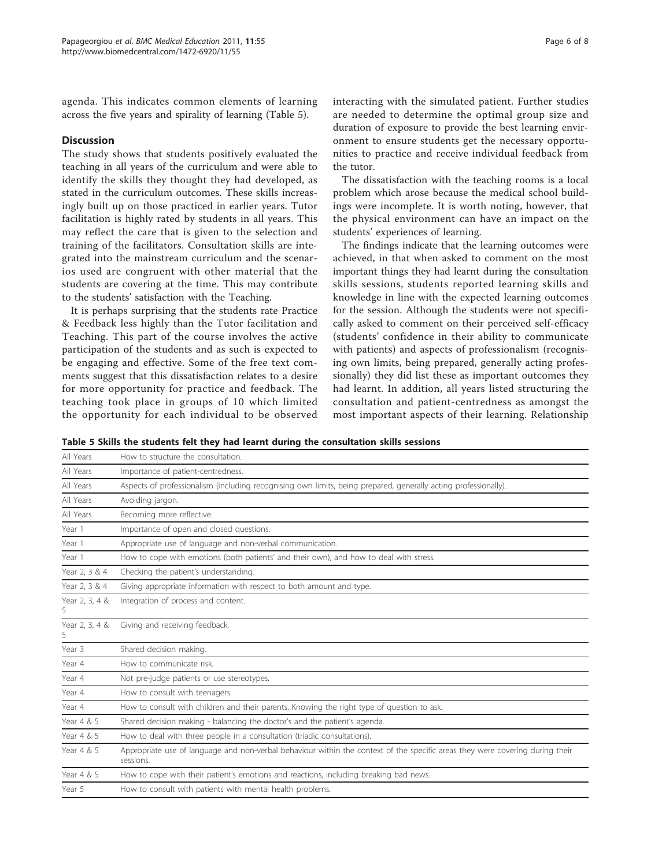agenda. This indicates common elements of learning across the five years and spirality of learning (Table 5).

## **Discussion**

The study shows that students positively evaluated the teaching in all years of the curriculum and were able to identify the skills they thought they had developed, as stated in the curriculum outcomes. These skills increasingly built up on those practiced in earlier years. Tutor facilitation is highly rated by students in all years. This may reflect the care that is given to the selection and training of the facilitators. Consultation skills are integrated into the mainstream curriculum and the scenarios used are congruent with other material that the students are covering at the time. This may contribute to the students' satisfaction with the Teaching.

It is perhaps surprising that the students rate Practice & Feedback less highly than the Tutor facilitation and Teaching. This part of the course involves the active participation of the students and as such is expected to be engaging and effective. Some of the free text comments suggest that this dissatisfaction relates to a desire for more opportunity for practice and feedback. The teaching took place in groups of 10 which limited the opportunity for each individual to be observed interacting with the simulated patient. Further studies are needed to determine the optimal group size and duration of exposure to provide the best learning environment to ensure students get the necessary opportunities to practice and receive individual feedback from the tutor.

The dissatisfaction with the teaching rooms is a local problem which arose because the medical school buildings were incomplete. It is worth noting, however, that the physical environment can have an impact on the students' experiences of learning.

The findings indicate that the learning outcomes were achieved, in that when asked to comment on the most important things they had learnt during the consultation skills sessions, students reported learning skills and knowledge in line with the expected learning outcomes for the session. Although the students were not specifically asked to comment on their perceived self-efficacy (students' confidence in their ability to communicate with patients) and aspects of professionalism (recognising own limits, being prepared, generally acting professionally) they did list these as important outcomes they had learnt. In addition, all years listed structuring the consultation and patient-centredness as amongst the most important aspects of their learning. Relationship

|  |  |  |  | Table 5 Skills the students felt they had learnt during the consultation skills sessions |  |
|--|--|--|--|------------------------------------------------------------------------------------------|--|
|--|--|--|--|------------------------------------------------------------------------------------------|--|

| All Years      | How to structure the consultation.                                                                                                         |
|----------------|--------------------------------------------------------------------------------------------------------------------------------------------|
| All Years      | Importance of patient-centredness.                                                                                                         |
| All Years      | Aspects of professionalism (including recognising own limits, being prepared, generally acting professionally).                            |
| All Years      | Avoiding jargon.                                                                                                                           |
| All Years      | Becoming more reflective.                                                                                                                  |
| Year 1         | Importance of open and closed questions.                                                                                                   |
| Year 1         | Appropriate use of language and non-verbal communication.                                                                                  |
| Year 1         | How to cope with emotions (both patients' and their own), and how to deal with stress.                                                     |
| Year 2, 3 & 4  | Checking the patient's understanding.                                                                                                      |
| Year 2, 3 & 4  | Giving appropriate information with respect to both amount and type.                                                                       |
| Year 2, 3, 4 & | Integration of process and content.                                                                                                        |
| Year 2, 3, 4 & | Giving and receiving feedback.                                                                                                             |
| Year 3         | Shared decision making.                                                                                                                    |
| Year 4         | How to communicate risk.                                                                                                                   |
| Year 4         | Not pre-judge patients or use stereotypes.                                                                                                 |
| Year 4         | How to consult with teenagers.                                                                                                             |
| Year 4         | How to consult with children and their parents. Knowing the right type of question to ask.                                                 |
| Year 4 & 5     | Shared decision making - balancing the doctor's and the patient's agenda.                                                                  |
| Year 4 & 5     | How to deal with three people in a consultation (triadic consultations).                                                                   |
| Year 4 & 5     | Appropriate use of language and non-verbal behaviour within the context of the specific areas they were covering during their<br>sessions. |
| Year 4 & 5     | How to cope with their patient's emotions and reactions, including breaking bad news.                                                      |
| Year 5         | How to consult with patients with mental health problems.                                                                                  |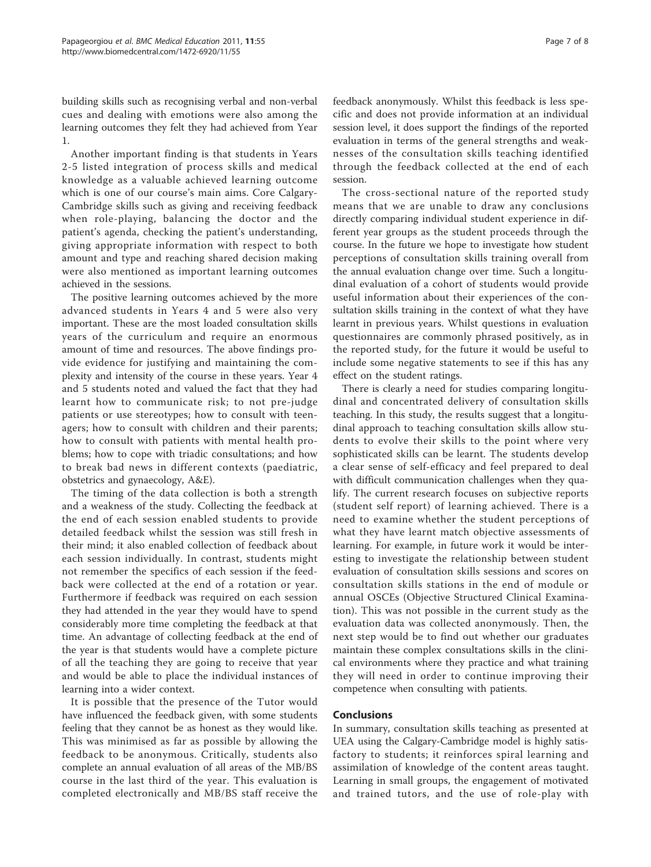building skills such as recognising verbal and non-verbal cues and dealing with emotions were also among the learning outcomes they felt they had achieved from Year 1.

Another important finding is that students in Years 2-5 listed integration of process skills and medical knowledge as a valuable achieved learning outcome which is one of our course's main aims. Core Calgary-Cambridge skills such as giving and receiving feedback when role-playing, balancing the doctor and the patient's agenda, checking the patient's understanding, giving appropriate information with respect to both amount and type and reaching shared decision making were also mentioned as important learning outcomes achieved in the sessions.

The positive learning outcomes achieved by the more advanced students in Years 4 and 5 were also very important. These are the most loaded consultation skills years of the curriculum and require an enormous amount of time and resources. The above findings provide evidence for justifying and maintaining the complexity and intensity of the course in these years. Year 4 and 5 students noted and valued the fact that they had learnt how to communicate risk; to not pre-judge patients or use stereotypes; how to consult with teenagers; how to consult with children and their parents; how to consult with patients with mental health problems; how to cope with triadic consultations; and how to break bad news in different contexts (paediatric, obstetrics and gynaecology, A&E).

The timing of the data collection is both a strength and a weakness of the study. Collecting the feedback at the end of each session enabled students to provide detailed feedback whilst the session was still fresh in their mind; it also enabled collection of feedback about each session individually. In contrast, students might not remember the specifics of each session if the feedback were collected at the end of a rotation or year. Furthermore if feedback was required on each session they had attended in the year they would have to spend considerably more time completing the feedback at that time. An advantage of collecting feedback at the end of the year is that students would have a complete picture of all the teaching they are going to receive that year and would be able to place the individual instances of learning into a wider context.

It is possible that the presence of the Tutor would have influenced the feedback given, with some students feeling that they cannot be as honest as they would like. This was minimised as far as possible by allowing the feedback to be anonymous. Critically, students also complete an annual evaluation of all areas of the MB/BS course in the last third of the year. This evaluation is completed electronically and MB/BS staff receive the feedback anonymously. Whilst this feedback is less specific and does not provide information at an individual session level, it does support the findings of the reported evaluation in terms of the general strengths and weaknesses of the consultation skills teaching identified through the feedback collected at the end of each session.

The cross-sectional nature of the reported study means that we are unable to draw any conclusions directly comparing individual student experience in different year groups as the student proceeds through the course. In the future we hope to investigate how student perceptions of consultation skills training overall from the annual evaluation change over time. Such a longitudinal evaluation of a cohort of students would provide useful information about their experiences of the consultation skills training in the context of what they have learnt in previous years. Whilst questions in evaluation questionnaires are commonly phrased positively, as in the reported study, for the future it would be useful to include some negative statements to see if this has any effect on the student ratings.

There is clearly a need for studies comparing longitudinal and concentrated delivery of consultation skills teaching. In this study, the results suggest that a longitudinal approach to teaching consultation skills allow students to evolve their skills to the point where very sophisticated skills can be learnt. The students develop a clear sense of self-efficacy and feel prepared to deal with difficult communication challenges when they qualify. The current research focuses on subjective reports (student self report) of learning achieved. There is a need to examine whether the student perceptions of what they have learnt match objective assessments of learning. For example, in future work it would be interesting to investigate the relationship between student evaluation of consultation skills sessions and scores on consultation skills stations in the end of module or annual OSCEs (Objective Structured Clinical Examination). This was not possible in the current study as the evaluation data was collected anonymously. Then, the next step would be to find out whether our graduates maintain these complex consultations skills in the clinical environments where they practice and what training they will need in order to continue improving their competence when consulting with patients.

## Conclusions

In summary, consultation skills teaching as presented at UEA using the Calgary-Cambridge model is highly satisfactory to students; it reinforces spiral learning and assimilation of knowledge of the content areas taught. Learning in small groups, the engagement of motivated and trained tutors, and the use of role-play with